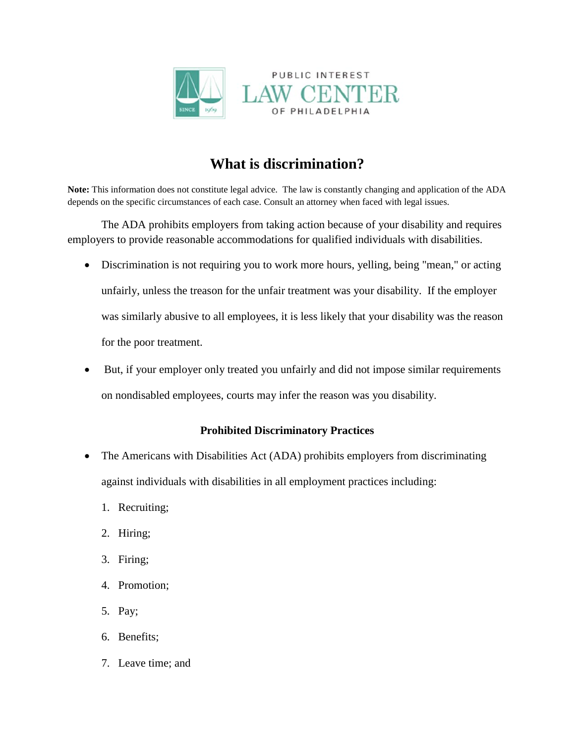

## **What is discrimination?**

**Note:** This information does not constitute legal advice. The law is constantly changing and application of the ADA depends on the specific circumstances of each case. Consult an attorney when faced with legal issues.

The ADA prohibits employers from taking action because of your disability and requires employers to provide reasonable accommodations for qualified individuals with disabilities.

- Discrimination is not requiring you to work more hours, yelling, being "mean," or acting unfairly, unless the treason for the unfair treatment was your disability. If the employer was similarly abusive to all employees, it is less likely that your disability was the reason for the poor treatment.
- But, if your employer only treated you unfairly and did not impose similar requirements on nondisabled employees, courts may infer the reason was you disability.

## **Prohibited Discriminatory Practices**

- The Americans with Disabilities Act (ADA) prohibits employers from discriminating against individuals with disabilities in all employment practices including:
	- 1. Recruiting;
	- 2. Hiring;
	- 3. Firing;
	- 4. Promotion;
	- 5. Pay;
	- 6. Benefits;
	- 7. Leave time; and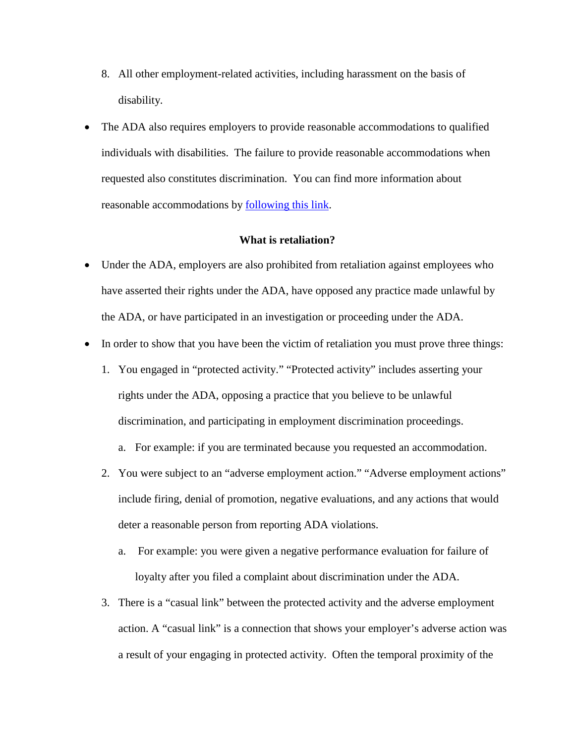- 8. All other employment-related activities, including harassment on the basis of disability.
- The ADA also requires employers to provide reasonable accommodations to qualified individuals with disabilities. The failure to provide reasonable accommodations when requested also constitutes discrimination. You can find more information about reasonable accommodations by [following this link.](http://www.pilcop.org/wp-content/uploads/2014/11/Reasonable-Accommodation.docx)

## **What is retaliation?**

- Under the ADA, employers are also prohibited from retaliation against employees who have asserted their rights under the ADA, have opposed any practice made unlawful by the ADA, or have participated in an investigation or proceeding under the ADA.
- In order to show that you have been the victim of retaliation you must prove three things:
	- 1. You engaged in "protected activity." "Protected activity" includes asserting your rights under the ADA, opposing a practice that you believe to be unlawful discrimination, and participating in employment discrimination proceedings.
		- a. For example: if you are terminated because you requested an accommodation.
	- 2. You were subject to an "adverse employment action." "Adverse employment actions" include firing, denial of promotion, negative evaluations, and any actions that would deter a reasonable person from reporting ADA violations.
		- a. For example: you were given a negative performance evaluation for failure of loyalty after you filed a complaint about discrimination under the ADA.
	- 3. There is a "casual link" between the protected activity and the adverse employment action. A "casual link" is a connection that shows your employer's adverse action was a result of your engaging in protected activity. Often the temporal proximity of the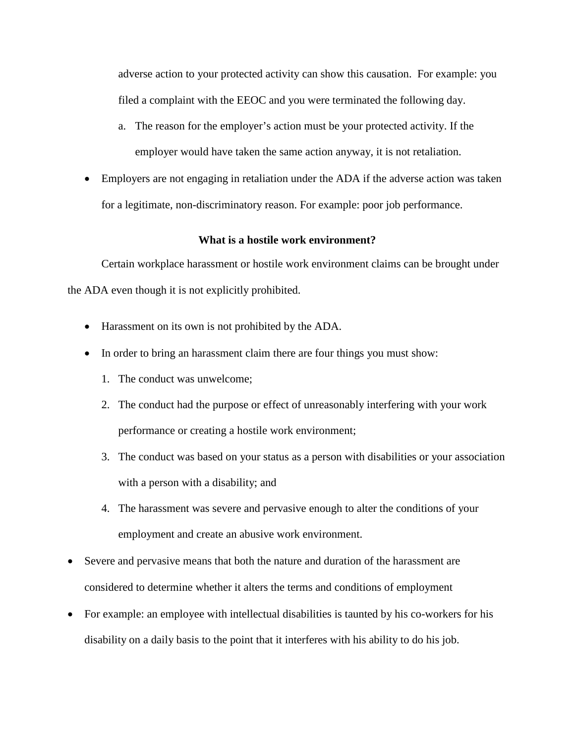adverse action to your protected activity can show this causation. For example: you filed a complaint with the EEOC and you were terminated the following day.

- a. The reason for the employer's action must be your protected activity. If the employer would have taken the same action anyway, it is not retaliation.
- Employers are not engaging in retaliation under the ADA if the adverse action was taken for a legitimate, non-discriminatory reason. For example: poor job performance.

## **What is a hostile work environment?**

Certain workplace harassment or hostile work environment claims can be brought under the ADA even though it is not explicitly prohibited.

- Harassment on its own is not prohibited by the ADA.
- In order to bring an harassment claim there are four things you must show:
	- 1. The conduct was unwelcome;
	- 2. The conduct had the purpose or effect of unreasonably interfering with your work performance or creating a hostile work environment;
	- 3. The conduct was based on your status as a person with disabilities or your association with a person with a disability; and
	- 4. The harassment was severe and pervasive enough to alter the conditions of your employment and create an abusive work environment.
- Severe and pervasive means that both the nature and duration of the harassment are considered to determine whether it alters the terms and conditions of employment
- For example: an employee with intellectual disabilities is taunted by his co-workers for his disability on a daily basis to the point that it interferes with his ability to do his job.